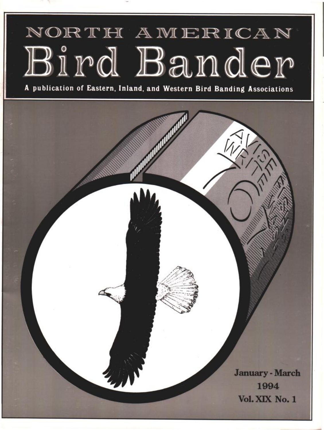# NORTH AMERICAN Bird Bander

**A publication of Eastern, Inland, and Western Bird Banding Associations**